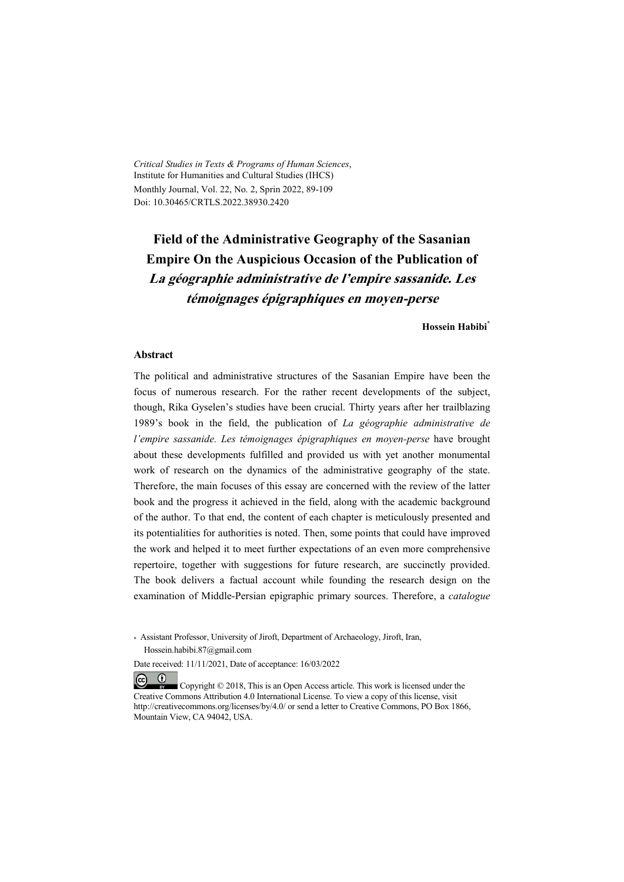*Critical Studies in Texts & Programs of Human Sciences*, Institute for Humanities and Cultural Studies (IHCS) Monthly Journal, Vol. 22, No. 2, Sprin 2022, 89-109 Doi: 10.30465/CRTLS.2022.38930.2420

# **Field of the Administrative Geography of the Sasanian Empire On the Auspicious Occasion of the Publication of La géographie administrative de l'empire sassanide. Les témoignages épigraphiques en moyen-perse**

**Hossein Habibi\***

#### **Abstract**

 $(\mathbf{i})$ 

The political and administrative structures of the Sasanian Empire have been the focus of numerous research. For the rather recent developments of the subject, though, Rika Gyselen's studies have been crucial. Thirty years after her trailblazing 1989's book in the field, the publication of *La géographie administrative de l'empire sassanide. Les témoignages épigraphiques en moyen-perse* have brought about these developments fulfilled and provided us with yet another monumental work of research on the dynamics of the administrative geography of the state. Therefore, the main focuses of this essay are concerned with the review of the latter book and the progress it achieved in the field, along with the academic background of the author. To that end, the content of each chapter is meticulously presented and its potentialities for authorities is noted. Then, some points that could have improved the work and helped it to meet further expectations of an even more comprehensive repertoire, together with suggestions for future research, are succinctly provided. The book delivers a factual account while founding the research design on the examination of Middle-Persian epigraphic primary sources. Therefore, a *catalogue* 

<sup>\*</sup> Assistant Professor, University of Jiroft, Department of Archaeology, Jiroft, Iran, Hossein.habibi.87@gmail.com

Date received: 11/11/2021, Date of acceptance: 16/03/2022

 $(cc)$  Copyright © 2018, This is an Open Access article. This work is licensed under the Creative Commons Attribution 4.0 International License. To view a copy of this license, visit http://creativecommons.org/licenses/by/4.0/ or send a letter to Creative Commons, PO Box 1866, Mountain View, CA 94042, USA.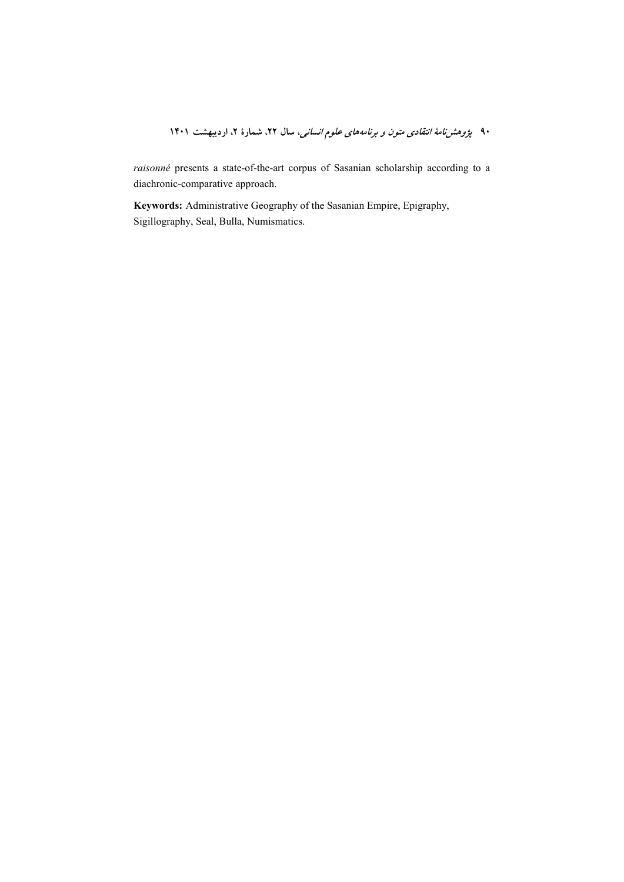raisonné presents a state-of-the-art corpus of Sasanian scholarship according to a diachronic-comparative approach.

Keywords: Administrative Geography of the Sasanian Empire, Epigraphy, Sigillography, Seal, Bulla, Numismatics.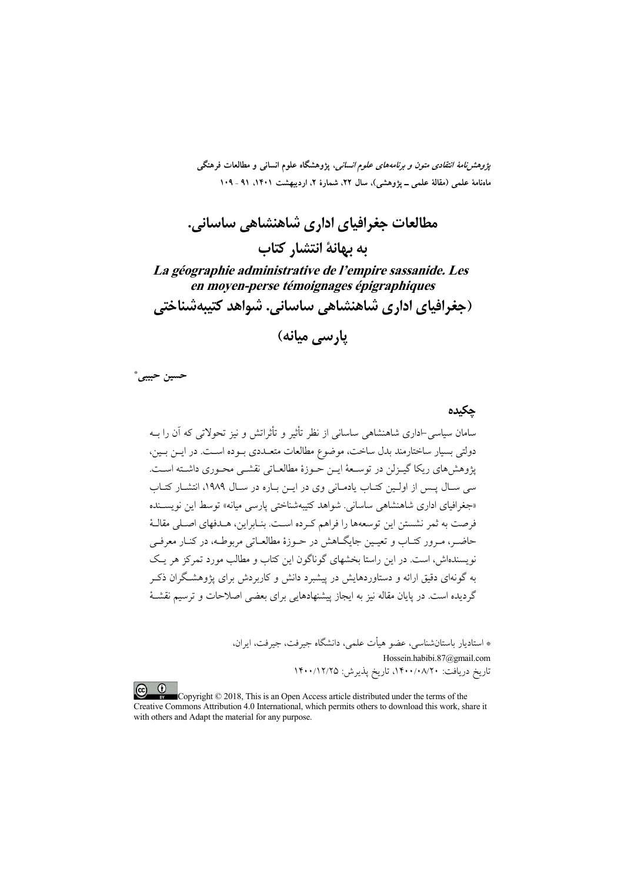*پژوهشنامهٔ انتقادی متون و برنامههای علوم انسانی*، پژوهشگاه علوم انسانی و مطالعات فرهنگی ماهنامهٔ علمی (مقالهٔ علمی ـ یژوهشی)، سال ۲۲، شمارهٔ ۲، اردیبهشت ۱۴۰۱، ۹۱ ـ ۱۰۹

مطالعات جغرافیای اداری شاهنشاهی ساسانی. به بهانهٔ انتشار کتاب La géographie administrative de l'empire sassanide. Les en moyen-perse témoignages épigraphiques (جغرافیای اداری شاهنشاهی ساسانی. شواهد کتیبهشناختی

يارسي ميانه)

حسين حبيبي\*

حكىدە .<br>سامان سیاسی-اداری شاهنشاهی ساسانی از نظر تأثیر و تأثراتش و نیز تحولاتی که آن را بــه دولتی بسیار ساختارمند بدل ساخت، موضوع مطالعات متعـددی بـوده اسـت. در ایـن بـین، يژوهش هاي ريكا گيـزلن در توسـعهٔ ايـن حـوزهٔ مطالعـاتي نقشـي محـوري داشـته اسـت. سی سـال پــس از اولــین کتــاب یادمــانی وی در ایــن بــاره در ســال ۱۹۸۹، انتشــار کتــاب «جغرافیای اداری شاهنشاهی ساسانی. شواهد کتیبهشناختی پارسی میانه» توسط این نویســنده فرصت به ثمر نشستن این توسعهها را فراهم کـرده اسـت. بنـابراین، هــدفهای اصـلی مقالـهٔ حاضر، مـرور کتـاب و تعیـین جایگــاهش در حــوزهٔ مطالعــاتی مربوطــه، در کنــار معرفــی نویسندهاش، است. در این راستا بخشهای گوناگون این کتاب و مطالب مورد تمرکز هر یک به گونهای دقیق ارائه و دستاوردهایش در پیشبرد دانش و کاربردش برای پژوهشگران ذکـر گردیده است. در پایان مقاله نیز به ایجاز پیشنهادهایی برای بعضی اصلاحات و ترسیم نقشـهٔ

> \* استاديار باستانشناسي، عضو هيأت علمي، دانشگاه جيرفت، جيرفت، ايران، Hossein.habibi.87@gmail.com<br>تاریخ دریافت: ۱۴۰۰/۰۸/۲۰، تاریخ پذیرش: ۱۴۰۰/۱۲/۲۵

 $\odot$ Copyright © 2018, This is an Open Access article distributed under the terms of the Creative Commons Attribution 4.0 International, which permits others to download this work, share it with others and Adapt the material for any purpose.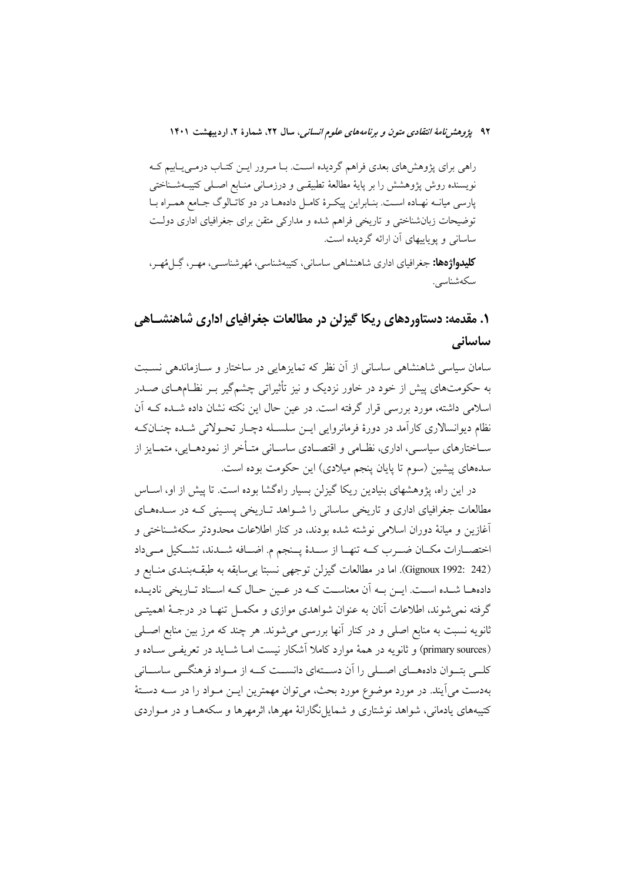راهی برای پژوهشهای بعدی فراهم گردیده است. بـا مـرور ایــن کتــاب درمـی یــابیم کــه نویسنده روش پژوهشش را بر پایهٔ مطالعهٔ تطبیقـی و درزمـانی منـابع اصـلـی کتیبــهشـناختی پارسی میانــه نهـاده اسـت. بنــابراین پیکـرهٔ کامــل دادههــا در دو کاتــالوگ جــامع همـراه بــا توضیحات زبانشناختی و تاریخی فراهم شده و مدارکی متقن برای جغرافیای اداری دولت ساسانی و یوپاییهای آن ارائه گردیده است.

**کلیدواژهها:** جغرافیای اداری شاهنشاهی ساسانی، کتیبهشناسی، مُهرشناسـی، مهـر، گِــل مُهـر، سكەشناسى.

# ۱. مقدمه: دستاوردهای ریکا گیزلن در مطالعات جغرافیای اداری شاهنشـاهی ساسانى

سامان سیاسی شاهنشاهی ساسانی از آن نظر که تمایزهایی در ساختار و سـازماندهی نسـبت به حکومتهای پیش از خود در خاور نزدیک و نیز تأثیراتی چشمگیر بـر نظـامهــای صــدر اسلامی داشته، مورد بررسی قرار گرفته است. در عین حال این نکته نشان داده شــده کــه آن نظام دیوانسالاری کارآمد در دورهٔ فرمانروایی ایـن سلسـله دچـار تحـولاتی شـده چنــانکـه ســاختارهای سیاســی، اداری، نظــامی و اقتصــادی ساســانی متــأخر از نمودهــایی، متمــایز از سدههای پیشین (سوم تا پایان پنجم میلادی) این حکومت بوده است.

در این راه، پژوهشهای بنیادین ریکا گیزلن بسیار راهگشا بوده است. تا پیش از او، اســاس مطالعات جغرافیای اداری و تاریخی ساسانی را شـواهد تـاریخی پسـینی کـه در سـدههـای آغازین و میانهٔ دوران اسلامی نوشته شده بودند، در کنار اطلاعات محدودتر سکهشـناختی و اختصــارات مكــان ضــرب كــه تنهــا از ســدهٔ يــنجم م. اضــافه شــدند، تشــكيل مــىداد (Gignoux 1992: 242). اما در مطالعات گیزلن توجهی نسبتا بی سابقه به طبقـهبنـدی منـابع و دادههــا شــده اســت. ابــن بــه آن معناســت كــه در عــبن حــال كــه اســناد تــاريخي ناديــده گرفته نمی شوند، اطلاعات آنان به عنوان شواهدی موازی و مکمـل تنهـا در درجـهٔ اهمیتــی ثانويه نسبت به منابع اصلي و در كنار آنها بررسي مي شوند. هر چند كه مرز بين منابع اصــلي (primary sources) و ثانويه در همهٔ موارد كاملا آشكار نيست امــا شــايد در تعريفــي ســاده و کلـے تبـوان دادہھــای اصــلی را آن دســتهای دانســت کــه از مــواد فرهنگــی ساســانی بهدست می]یند. در مورد موضوع مورد بحث، میتوان مهمترین ایــن مــواد را در ســه دســتهٔ کتیبههای پادمانی، شواهد نوشتاری و شمایل نگارانهٔ مهرها، اثرمهرها و سکههــا و در مــواردی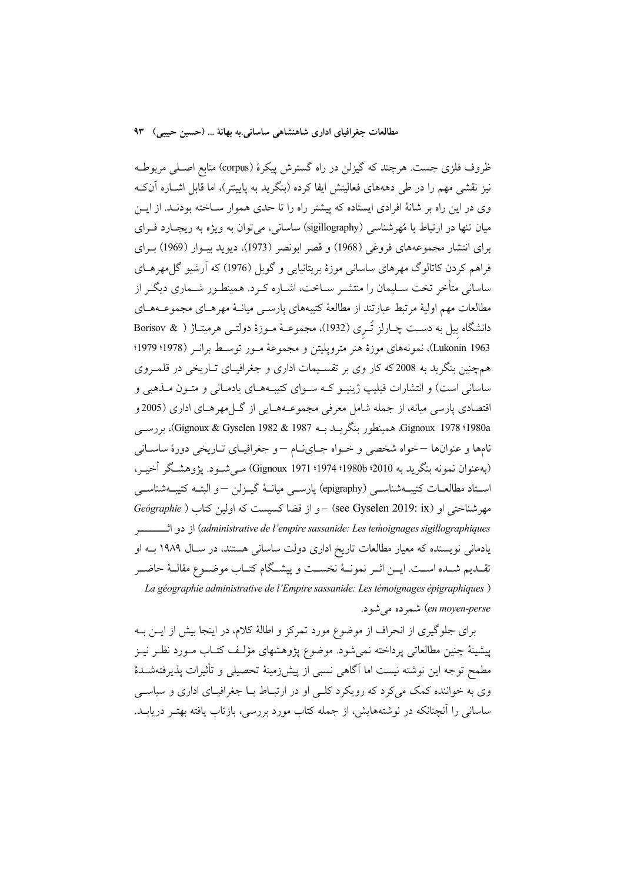ظروف فلزی جست. هرچند که گیزلن در راه گسترش پیکرهٔ (corpus) منابع اصـلی مربوطـه نیز نقشی مهم را در طی دهههای فعالیتش ایفا کرده (بنگرید به پایینتر)، اما قابل اشــاره آنکـه وی در این راه بر شانهٔ افرادی ایستاده که پیشتر راه را تا حدی هموار سـاخته بودنـد. از ایــن میان تنها در ارتباط با مُهرشناسی (sigillography) ساسانی، می توان به ویژه به ریچارد فـرای براي انتشار مجموعههاي فروغي (1968) و قصر ابونصر (1973)، ديويد بيــوار (1969) بـراي فراهم کردن کاتالوگ مهرهای ساسانی موزهٔ بریتانیایی و گوبل (1976) که آرشیو گلءهرهــای ساسانی متأخر تخت سـلیمان را منتشـر سـاخت، اشـاره کـرد. همینطـور شـماری دیگـر از مطالعات مهم اولیهٔ مرتبط عبارتند از مطالعهٔ کتیبههای پارســی میانــهٔ مهرهــای مجموعــههــای دانشگاه پیل به دست چـارلز تُــری (1932)، مجموعــهٔ مــوزهٔ دولتــی هرمیتــاژ ( & Borisov Lukonin 1963)، نمونههاي موزهٔ هنر مترويليتن و مجموعهٔ مـور توسـط برانـر (1978؛ 1979؛ همچنین بنگرید به 2008که کار وی بر تقسیمات اداری و جغرافیـای تــاریخی در قلمــروی ساسانی است) و انتشارات فیلیپ ژینیـو کــه ســوای کتیبــههــای یادمــانی و متــون مــذهبی و اقتصادی پارسی میانه، از جمله شامل معرفی مجموعـههـایی از گــلمهرهـای اداری (2005و 1980a؛ Gignoux 1978، همينطور بنگريــد بــه 1987 Gignoux & Gyselen 1982)، بررســي نامها و عنوانها –خواه شخصی و خـواه جـایiام –و جغرافیـای تـاریخی دورهٔ ساسـانی (بهعنوان نمونه بنگريد به 2010؛ 1980؛ 1974؛ Gignoux 1971) مــي شــود. يژوهشــگر أخيــر، استاد مطالعــات كتيبـــهشناســـي (epigraphy) پارســـي ميانـــهٔ گيــزلن –و البتــه كتيبـــهشناســـي مهرشناختی او (see Gyselen 2019: ix) - و از قضا کسیست که اولین کتاب ( Geógraphie (administrative de l'empire sassanide: Les teḿoignages sigillographiques) از دو اثـــــــــــــــــــــــــــ یادمانی نویسنده که معیار مطالعات تاریخ اداری دولت ساسانی هستند، در سـال ۱۹۸۹ بـه او تقــديم شــده اســت. ايـــن اثــر نمونــهٔ نخســت و پيشــگام كتــاب موضــوع مقالــهٔ حاضــر La géographie administrative de l'Empire sassanide: Les témoignages épigraphiques) en moyen-perse) شمر ده می شو د.

برای جلوگیری از انحراف از موضوع مورد تمرکز و اطالهٔ کلام، در اینجا بیش از ایــن بــه پیشینهٔ چنین مطالعاتی پرداخته نمی شود. موضوع پژوهشهای مؤلـف کتـاب مــورد نظـر نیــز مطمح توجه اين نوشته نيست اما آگاهي نسبي از پيش(رمينهٔ تحصيلي و تأثيرات يذيرفتهشـدهٔ وي به خواننده كمك ميكرد كه رويكرد كلبي او در ارتبـاط بــا جغرافيــاي اداري و سياســي ساسانی را آنچنانکه در نوشتههایش، از جمله کتاب مورد بررسی، بازتاب یافته بهتـر دریابــد.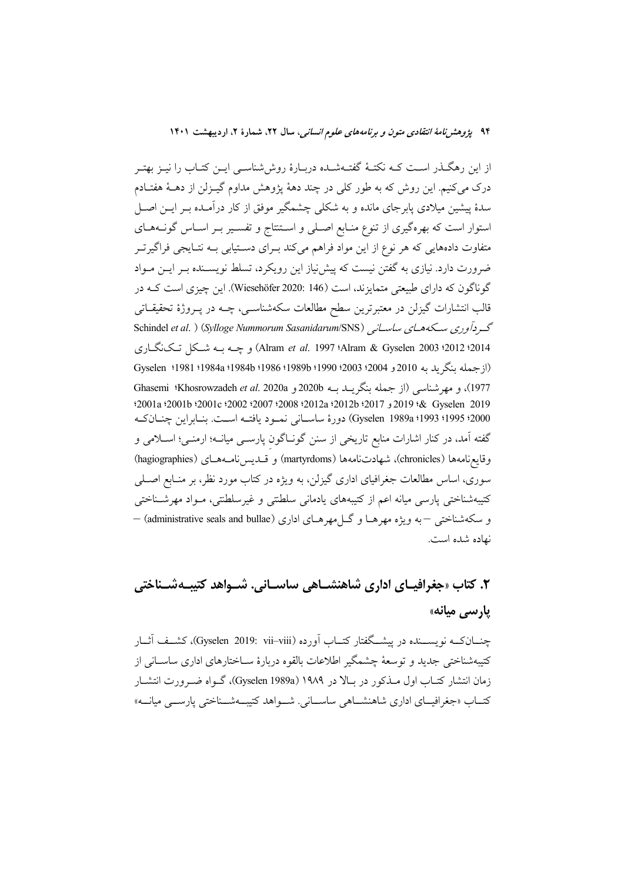از این رهگــذر اســت کــه نکتــهٔ گفتــهشــده دربــارهٔ روششناســی ایــن کتــاب را نیــز بهتــر درک می کنیم. این روش که به طور کلی در چند دههٔ یژوهش مداوم گیـزلن از دهــهٔ هفتـادم سدهٔ پیشین میلادی پابرجای مانده و به شکلی چشمگیر موفق از کار درآمـده بــر ایــن اصــل استوار است که بهرهگیری از تنوع منـابع اصـلی و اسـتنتاج و تفسـیر بـر اسـاس گونـههـای متفاوت دادههایی که هر نوع از این مواد فراهم میکند بـرای دسـتیابی بــه نتـایجی فراگیرتـر ضرورت دارد. نیازی به گفتن نیست که پیش نیاز این رویکرد، تسلط نویســنده بــر ایــن مــواد گوناگون که دارای طبیعتی متمایزند، است (146 .Wiesehöfer 2020). این چیزی است کـه در قالب انتشارات گیزلن در معتبرترین سطح مطالعات سکهشناسـی، چــه در پــروژهٔ تحقیقــاتـی Schindel et al. ) (Sylloge Nummorum Sasanidarum/SNS) دردآوری سکههای ساسانی 2014؛ Alram & Gyselen 2003؛ 2012؛ Alram et al. 1997) و چــه بــه شــكل تـكـنگــاري (از جمله بنگر بد به 2010 و 2004 2003 1990؛ 1980؛ 1986؛ 1984، 1984؛ 1981؛ Gyselen 1977)، و مهر شناسی (از جمله نگریب ب 2020b و Khosrowzadeh *et al.* 2020a) Ghasemi 2019 2019 38 Gyselen و 2017؛ 2012؛ 2008؛ 2007؛ 2002؛ 2002؛ 2001؛ 2001؛ 2001؛ 2001؛ 2000؛ 1993؛ 1983؛ Gyselen 1989a) دورة ساسياني نمبود يافتيه است. بنياراين جنبان كيه گفته آمد، در کنار اشارات منابع تاریخی از سنن گونـاگون پارســی میانــه؛ ارمنــی؛ اســلامی و وقايعنامهها (chronicles)، شهادتنامهها (martyrdoms) و قــديسiامــههـاي (hagiographies) سوری، اساس مطالعات جغرافیای اداری گیزلن، به ویژه در کتاب مورد نظر، بر منـابع اصــلی کتیبهشناختی پارسی میانه اعم از کتیبههای یادمانی سلطنتی و غیرسلطنتی، مـواد مهرشـناختی و سکهشناختی –به ویژه مهرهـا و گــا مهرهـای اداری (administrative seals and bullae) – نهاده شده است.

# ۲. کتاب «جغرافیـای اداری شاهنشـاهی ساسـانی. شـواهد کتیبـهشــناختی یارسی میانه»

چنــانکــه نویســـنده در پیشـــگفتار کتــاب آورده (Gyselen 2019: vii–viii)، کشــف آثــار كتيبهشناختى جديد و توسعهٔ چشمگير اطلاعات بالقوه دربارهٔ ســاختارهاي اداري ساســاني از زمان انتشار کتــاب اول مــذکور در بــالا در ۱۹۸۹ (Gyselen 1989a)، گــواه ضــرورت انتشــار کتــاب «جغرافیــای اداری شاهنشــاهی ساســانی. شــواهد کتیبــهشــناختی پارســـی میانـــه»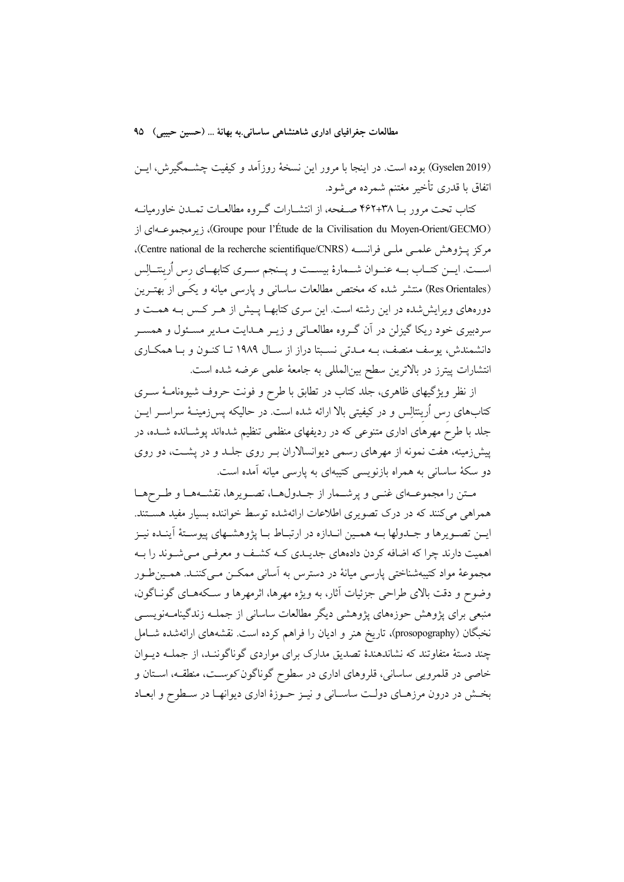(Gyselen 2019) بوده است. در اینجا با مرور این نسخهٔ روزآمد و کیفیت چشـمگیرش، ایـن اتفاق با قدری تأخیر مغتنم شمرده می شود.

کتاب تحت مرور بــا ۴۶۲+۴۶۲ صــفحه، از انتشــارات گــروه مطالعــات تـمــدن خاورميانــه (Groupe pour l'Étude de la Civilisation du Moyen-Orient/GECMO)، زيرمجموعــهاى از مركز پــژوهش علمــي ملــي فرانســه (Centre national de la recherche scientifique/CNRS). اسـت. ايــن كتــاب بــه عنــوان شــمارهٔ بيســت و يــنجم ســرى كتابهــاي رس اُرينتــالِس (Res Orientales) منتشر شده که مختص مطالعات ساسانی و پارسی میانه و یکسی از بهتـرین دورههای ویرایش شده در این رشته است. این سری کتابهـا پـیش از هـر کـس بـه همـت و سردبیری خود ریکا گیزلن در اَن گـروه مطالعـاتی و زیـر هــدایت مــدیر مســئول و همســر دانشمندش، پوسف منصف، بــه مــدتی نســبتا دراز از ســال ۱۹۸۹ تــا کنــون و بــا همکــاری انتشارات پیترز در بالاترین سطح بین|لمللی به جامعهٔ علمی عرضه شده است.

از نظر ویژگیهای ظاهری، جلد کتاب در تطابق با طرح و فونت حروف شیوهنامـهٔ ســری کتابهای رس اُرینتالِس و در کیفیتی بالا ارائه شده است. در حالیکه پس زمینــهٔ سراســر ایــن جلد با طرح مهرهای اداری متنوعی که در ردیفهای منظمی تنظیم شدهاند پوشـانده شـده، در پیش(زمینه، هفت نمونه از مهرهای رسمی دیوانسالاران بـر روی جلـد و در پشـت، دو روی دو سکهٔ ساسانی به همراه بازنویسی کتیبهای به پارسی میانه آمده است.

متن را مجموعـهاي غنـي و يرشـمار از جـدولهـا، تصـويرها، نقشـههـا و طـرحهـا همراهی می کنند که در درک تصویری اطلاعات ارائهشده توسط خواننده بسیار مفید هستند. ايــن تصــويرها و جــدولها بــه همــين انــدازه در ارتبــاط بــا يژوهشــهاي پيوســتهٔ اَينــده نيــز اهمیت دارند چرا که اضافه کردن دادههای جدیـدی کـه کشـف و معرفـی مـیشـوند را بـه مجموعهٔ مواد کتیبهشناختی پارسی میانهٔ در دسترس به آسانی ممکــن مــیکننــد. همــینطـور وضوح و دقت بالای طراحی جزئیات آثار، به ویژه مهرها، اثرمهرها و سکههـای گونـاگون. منبعی برای یژوهش حوزههای یژوهشی دیگر مطالعات ساسانی از جملـه زندگینامـهنویســی نخبگان (prosopography)، تاریخ هنر و ادیان را فراهم کرده است. نقشههای ارائهشده شــامل چند دستهٔ متفاوتند که نشاندهندهٔ تصدیق مدارک برای مواردی گوناگوننـد، از جملــه دیــوان خاصی در قلمرویی ساسانی، قلروهای اداری در سطوح گوناگون *کوست*، منطقه، استان و بخش در درون مرزهاي دولت ساساني و نيـز حـوزهٔ اداري ديوانهـا در سـطوح و ابعـاد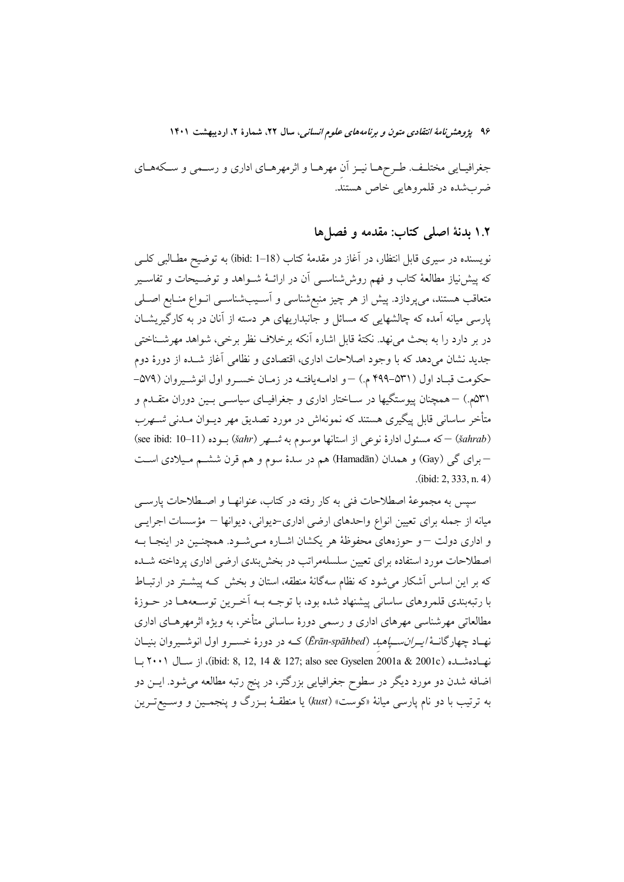جغرافیـایی مختلـف. طـرحهـا نیـز اَن مهرهـا و اثرمهرهـای اداری و رسـمی و سـكههـای ضربشده در قلمروهايي خاص هستند.

## ١.٢ بدنة اصلى كتاب: مقدمه و فصلها

نویسنده در سیری قابل انتظار، در آغاز در مقدمهٔ کتاب (ibid: 1–18) به توضیح مطـالبی کلــی که پیش نیاز مطالعهٔ کتاب و فهم روششناســی آن در ارائــهٔ شــواهد و توضــیحات و تفاســیر متعاقب هستند، میپردازد. پیش از هر چیز منبعشناسی و آسـیبشناسـی انـواع منـابع اصـلی یارسی میانه آمده که چالشهایی که مسائل و جانبداریهای هر دسته از آنان در به کارگیریشــان در بر دارد را به بحث میفهد. نکتهٔ قابل اشاره آنکه برخلاف نظر برخی، شواهد مهرشـناختی جدید نشان می دهد که با وجود اصلاحات اداری، اقتصادی و نظامی آغاز شـده از دورهٔ دوم حكومت قبـاد اول (۵۳۱-۴۹۹ م.) –و ادامـهيافتـه در زمـان خسـرو اول انوشـيروان (۵۷۹-۵۳۱م.) – همچنان پیوستگیها در ســاختار اداری و جغرافیــای سیاســی بــین دوران متقــدم و متأخر ساسانی قابل پیگیری هستند که نمونهاش در مورد تصدیق مهر دیــوان مــدنی شـــهرب (šahrab) – كه مسئول ادارهٔ نوعی از استانها موسوم به *شهر (šahr*) بوده (11–10 :see ibid: 10) –برای گی (Gay) و همدان (Hamadān) هم در سدهٔ سوم و هم قرن ششـم مـیلادی اسـت  $(ibid: 2, 333, n, 4)$ 

سیس به مجموعهٔ اصطلاحات فنی به کار رفته در کتاب، عنوانهـا و اصـطلاحات پارســی میانه از جمله برای تعیین انواع واحدهای ارضی اداری-دیوانی، دیوانها – مؤسسات اجرایسی و اداری دولت –و حوزههای محفوظهٔ هر یکشان اشـاره مـیشـود. همچنـین در اینجـا بـه اصطلاحات مورد استفاده برای تعیین سلسلهمراتب در بخش بندی ارضی اداری پرداخته شـده که بر این اساس اَشکار می شود که نظام سهگانهٔ منطقه، استان و بخش کـه پیشــتر در ارتبــاط با رتبهبندي قلمروهاي ساساني پيشنهاد شده بود، با توجــه بــه اَخــرين توســعههــا در حــوزهٔ مطالعاتی مهرشناسی مهرهای اداری و رسمی دورهٔ ساسانی متأخر، به ویژه اثرمهرهـای اداری نهـاد چهارگانــهٔ/*یــران.ســیاهباد (Ērān-spāhbed*) کــه در دورهٔ خســرو اول انوشــیروان بنیــان نهبادهشبده (ibid: 8, 12, 14 & 127; also see Gyselen 2001a & 2001c)، از سبال ۲۰۰۱ سا اضافه شدن دو مورد دیگر در سطوح جغرافیایی بزرگتر، در پنج رتبه مطالعه میشود. ایــن دو به ترتیب با دو نام پارسی میانهٔ «کوست» (kust) یا منطقـهٔ بـزرگ و پنجمـین و وسـیعتـرین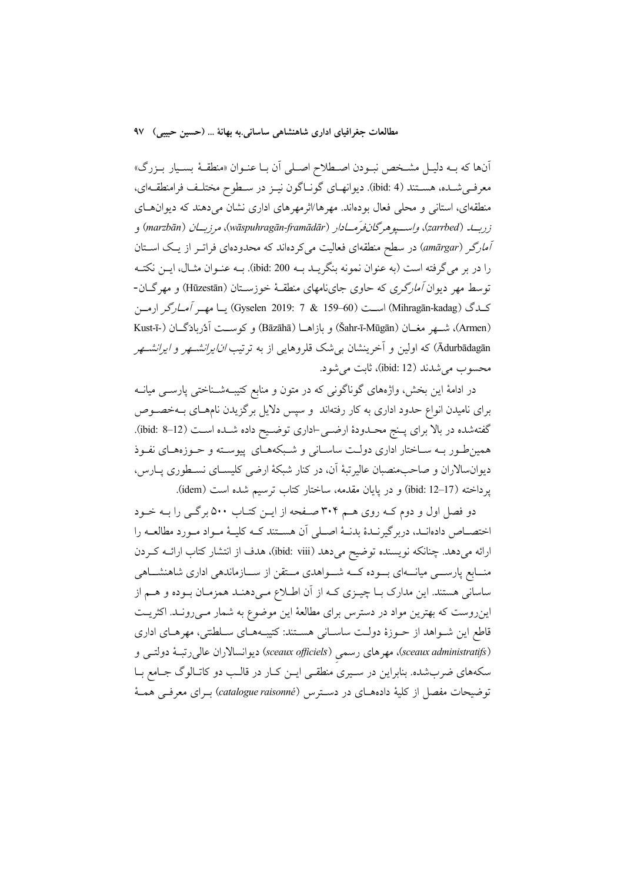أنها كه بــه دليــل مشـخص نبــودن اصـــطلاح اصــلى أن بــا عنــوان «منطقــهٔ بســيار بــزرگ» معرفي شـده، هســتند (4 :ibid). ديوانهــاي گونــاگون نيــز در ســطوح مختلـف فرامنطقــهاي، منطقهای، استانی و محلی فعال بودهاند. مهرها/اثرمهرهای اداری نشان میدهند که دیوان های زربــلد (zarrbed)، واســـيوهرگانفرَمــادار (wāspuhragān-framādār)، مرزبــان (marzbān) و *آمارگر (amārgar)* در سطح منطقهای فعالیت میکردهاند که محدودهای فراتـر از یـک اسـتان را در بر میگرفته است (به عنوان نمونه بنگریــد بــه ibid: 200). بــه عنــوان مثــال، ایــن نکتــه توسط مهر دیوان *آمارگری* که حاوی جاینامهای منطقـهٔ خوزســتان (Hūzestān) و مهرگــان-كدگ (Mihragān-kadag) است (159-159 & 17) (Gyselen 2019: 7) يـا مهـر *آمـارگر* ارمـن (Armen)، شهر مغــان (Šahr-ī-Mūgān) و بازاهــا (Bāzāhā) و كوســت آدُربادَگــان (-Kust-ī Ādurbādagān) که اولین و آخرینشان بی شک قلروهایی از به ترتیب *انایرانشتهر و ایرانشتهر* محسوب مي شدند (ibid: 12)، ثابت مي شود.

در ادامهٔ این بخش، واژههای گوناگونی که در متون و منابع کتیبـهشــناختی پارســی میانــه برای نامیدن انواع حدود اداری به کار رفتهاند و سپس دلایل برگزیدن نامهـای بــهخصــوص گفتهشده در بالا برای پـنج محـدودهٔ ارضــی-اداری توضــیح داده شــده اســت (ibid: 8–12). همین طور بـه سـاختار اداری دولـت ساسـانی و شـبکههـای پیوسـته و حـوزههـای نفـوذ دیوان سالاران و صاحب منصبان عالیرتبهٔ آن، در کنار شبکهٔ ارضی کلیسـای نسـطوری پــارس، يرداخته (17–ibid: 12) و در يايان مقدمه، ساختار كتاب ترسيم شده است (idem).

دو فصل اول و دوم کـه روي هـم ٣٠۴ صـفحه از ايـن کتـاب ٥٠٠ برگـي را بـه خـود اختصــاص دادهانــد، دربر گیرنــدهٔ بدنــهٔ اصــلی آن هســتند کــه کلیــهٔ مــواد مــورد مطالعــه را ارائه میدهد. چنانکه نویسنده توضیح میدهد (ibid: viii)، هدف از انتشار کتاب ارائــه کــردن منــابع پارســـی میانـــهای بـــوده کـــه شــــواهدی مـــتقن از ســـازماندهی اداری شاهنشـــاهی ساسانی هستند. این مدارک بـا چیــزی کــه از آن اطــلاع مــیدهنــد همزمــان بــوده و هــم از این روست که بهترین مواد در دسترس برای مطالعهٔ این موضوع به شمار مــی رونــد. اکثریــت قاطع این شـواهد از حـوزهٔ دولـت ساسـانی هسـتند: کتیبـههـای سـلطنتی، مهرهـای اداری (sceaux administratifs)، مهرهای رسمی (sceaux officiels) دیوانسالاران عالی رتبـهٔ دولتـی و سکههای ضربشده. بنابراین در سیری منطقی ایـن کـار در قالـب دو کاتـالوگ جـامع بـا توضیحات مفصل از کلیهٔ دادههـای در دسـترس (catalogue raisonné) بـرای معرفـی همـهٔ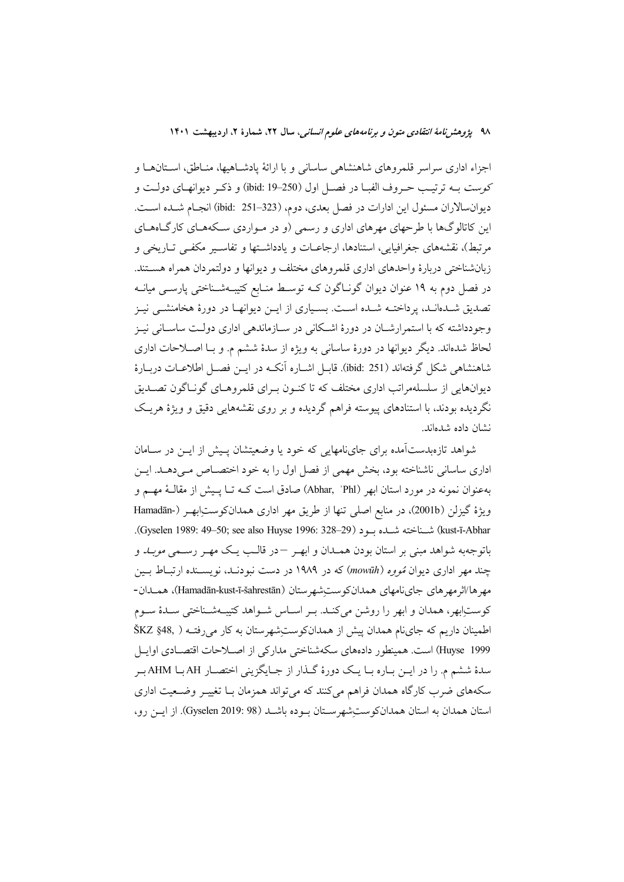اجزاء اداری سراسر قلمروهای شاهنشاهی ساسانی و با ارائهٔ پادشـاهیها، منـاطق، اسـتانهـا و كوست بـه ترتيـب حـروف الفبــا در فصــل اول (250–10 ibid: 19) و ذكـر ديوانهــاي دولــت و ديوانسالاران مسئول اين ادارات در فصل بعدي، دوم، (323–351 :jbid: انجـام شـده اسـت. این کاتالوگها با طرحهای مهرهای اداری و رسمی (و در مـواردی سـکههـای کارگـاههـای مرتبط)، نقشههای جغرافیایی، استنادها، ارجاعــات و یادداشــتها و تفاســیر مکفــی تــاریخی و زبانشناختی دربارهٔ واحدهای اداری قلمروهای مختلف و دیوانها و دولتمردان همراه هستند. در فصل دوم به ۱۹ عنوان دیوان گونـاگون کــه توســط منــابع کتیبــهشــناختی پارســی میانــه تصدیق شــدهانــد، پرداختــه شــده اســت. بسـیاری از ایــن دیوانهــا در دورهٔ هخامنشــی نیــز وجودداشته که با استمرارشـان در دورهٔ اشـکانی در سـازماندهی اداری دولـت ساسـانی نیـز لحاظ شدهاند. دیگر دیوانها در دورهٔ ساسانی به ویژه از سدهٔ ششم م. و بـا اصـلاحات اداری شاهنشاهی شکل گرفتهاند (ibid: 251). قابـل اشــاره آنکــه در ایــن فصــل اطلاعــات دربــارهٔ دیوانهایی از سلسلهمراتب اداری مختلف که تا کنـون بـرای قلمروهـای گونـاگون تصـدیق نگردیده بودند، با استنادهای پیوسته فراهم گردیده و بر روی نقشههایی دقیق و ویژهٔ هریـک نشان داده شدهاند.

شواهد تازهبدستآمده برای جاینامهایی که خود یا وضعیتشان پسش از ایـن در سـامان اداری ساسانی ناشناخته بود، بخش مهمی از فصل اول را به خود اختصـاص مـیدهـد. ایــن بهعنوان نمونه در مورد استان ابهر (Abhar, `Phl) صادق است کــه تــا پــیش از مقالــهٔ مهــم و ويژهٔ گيزلن (2001b)، در منابع اصلي تنها از طريق مهر اداري همدانكوستِابهـر (-Hamadān kust-ī-Abhar) شـناخته شـلـه بـود (Gyselen 1989: 49–50; see also Huyse 1996: 328–29). باتوجهبه شواهد مبنی بر استان بودن همـدان و ابهـر –در قالـب یـک مهـر رسـمی *موبـد* و چند مهر اداری دیوان تمووه (mowūh) که در ۱۹۸۹ در دست نبودنـد، نویسـنده ارتبـاط بـین مهر ها/اثر مهر هاي جايiامهاي همدانكوستِشهر ستان (Hamadān-kust-ī-šahrestān)، همـدان-کوستابهر، همدان و ابهر را روشن میکند. بـر اسـاس شـواهد کتیبـهشـناختی سـدهٔ سـوم اطمینان داریم که جای نام همدان پیش از همدان کوست شهر ستان به کار می رفته ( .SKZ §48 Huyse 1999) است. همینطور دادههای سکهشناختی مدارکی از اصلاحات اقتصـادی اوایـل سدهٔ ششم م. را در ایــن بــاره بــا یــک دورهٔ گــذار از جــایگزینی اختصــار AH بــا AHM بــر سکههای ضرب کارگاه همدان فراهم می کنند که می تواند همزمان بــا تغییــر وضــعیت اداری استان همدان به استان همدان کوست شهر ستان بو ده باشـد (Gyselen 2019: 98). از ایـن رو،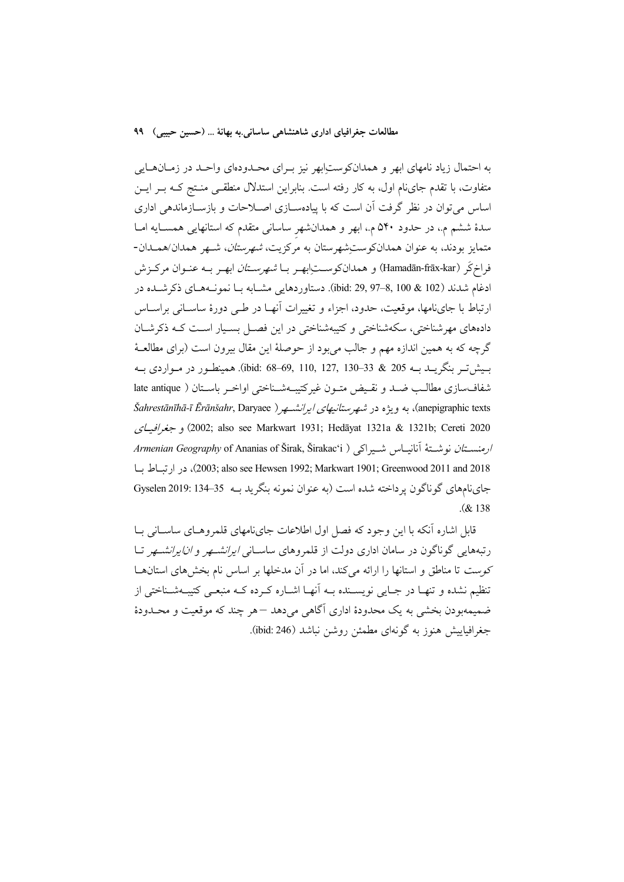به احتمال زیاد نامهای ابهر و همدانکوستِابهر نیز بـرای محـدودمای واحـد در زمـانهـایی متفاوت، با تقدم جایiام اول، به کار رفته است. بنابراین استدلال منطقی منتج کـه بـر ایـن اساس می توان در نظر گرفت آن است که با پیادهسـازی اصـلاحات و بازسـازماندهی اداری سدهٔ ششم م.، در حدود ۵۴۰ م.، ابهر و همدانشهر ساسانی متقدم که استانهایی همسـایه امـا متمایز بودند، به عنوان همدانکوستِشهرستان به مرکزیت، *شهرستان*، شـهر همدان/همـدان-فراخ5َ (Hamadān-frāx-kar) و همدانكوســتابهـر بــا *شهرســتان* ابهـر بــه عنـوان مركــزش ادغام شدند (102 & 100 ,8–97 (ibid: 29, 97). دستاوردهايي مشــابه بـا نمونــههـاي ذكرشــده در ارتباط با جایiامها، موقعیت، حدود، اجزاء و تغییرات آنهـا در طـی دورهٔ ساسـانی براسـاس دادههای مهرشناختی، سکهشناختی و کتیبهشناختی در این فصـل بسـیار اسـت کـه ذکرشـان گرچه که به همین اندازه مهم و جالب می بود از حوصلهٔ این مقال بیرون است (برای مطالعـهٔ بسپشتر بنگريــد بــه 205 & 33–30 ,110, 127, 130–68 .jbid: 68). همينطــور در مــواردي بــه شفافسازي مطالب ضد و نقيض متـون غيركتيبـهشـناختي اواخـر باسـتان ( late antique anepigraphic texts)، به ویژه در شهرستانیهای ایرانشسهر ( Šahrestānīhā-ī Ērānšahr, Daryaee )، 2002; also see Markwart 1931; Hedāyat 1321a & 1321b; Cereti 2020) و جغرافياي ارمنستان نوشتهٔ آنانیـاس شـیراکی ( Armenian Geography of Ananias of Širak, Širakac'i 2018) (2003; also see Hewsen 1992; Markwart 1901; Greenwood 2011 and 2018)، در ارتباط با جاي نامهاي گو ناگون پر داخته شده است (به عنوان نمونه بنگريد بـه 35–134 .Qyselen 2019  $(x + 138)$ 

قامل اشاره آنکه با این وجود که فصل اول اطلاعات جاینامهای قلمروهـای ساسـانی بـا رتبههایی گوناگون در سامان اداری دولت از قلمروهای ساسـان*ی ایرانشـهر و انایرانشـهر* تـا كوست تا مناطق و استانها را ارائه مى كند، اما در آن مدخلها بر اساس نام بخشهاى استانهـا تنظیم نشده و تنهـا در جـایی نویسـنده بـه آنهـا اشـاره کـرده کـه منبعـی کتیبـهشـناختی از ضميمهبودن بخشي به يک محدودهٔ اداري آگاهي مي دهد –هر چند که موقعيت و محــدودهٔ جغرافباييش هنوز به گونهاي مطمئن روشن نباشد (ibid: 246).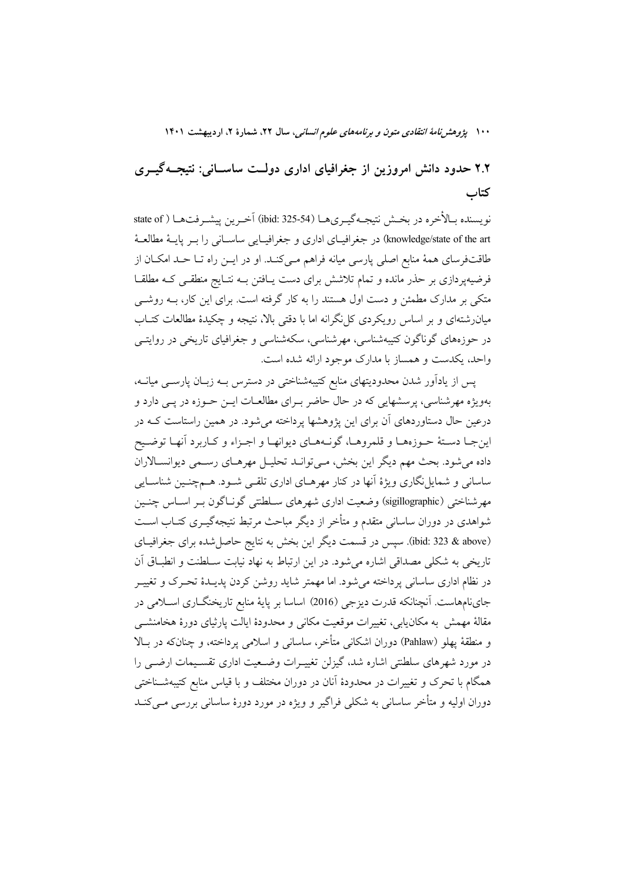۲.۲ حدود دانش امروزین از جغرافیای اداری دولت ساسـانی: نتیجــهگیــری كتاب

نويسنده بـالأخره در بخـش نتيجـهگيـريهـا (54-325 ibid: 3) آخـرين پيشـرفتهـا ( state of knowledge/state of the art) در جغرافیای اداری و جغرافیایی ساسانی را بـر پایــهٔ مطالعــهٔ طاقتفرسای همهٔ منابع اصلی پارسی میانه فراهم مـی کنـد. او در ایــن راه تــا حــد امکــان از فرضیهپردازی بر حذر مانده و تمام تلاشش برای دست پـافتن بـه نتـایج منطقـی کـه مطلقـا متکی بر مدارک مطمئن و دست اول هستند را به کار گرفته است. برای این کار، بـه روشــی میان رشتهای و بر اساس رویکردی کل نگرانه اما با دقتی بالا، نتیجه و چکیدهٔ مطالعات کتــاب در حوزههای گوناگون کتیبهشناسی، مهرشناسی، سکهشناسی و جغرافیای تاریخی در روایتــی واحد، یکدست و همساز با مدارک موجود ارائه شده است.

پس از یادآور شدن محدودیتهای منابع کتیبهشناختی در دسترس بــه زبــان پارســـی میانــه، بهویژه مهرشناسی، پرسشهایی که در حال حاضر بـرای مطالعـات ایــن حــوزه در یــی دارد و درعین حال دستاوردهای آن برای این یژوهشها یرداخته می شود. در همین راستاست کـه در اين جـا دسـتهٔ حـوزههـا و قلمروهـا، گونـههـاي ديوانهـا و اجـزاء و كـاربرد أنهـا توضـيح داده میشود. بحث مهم دیگر این بخش، مـیتوانـد تحلیـل مهرهـای رسـمی دیوانسـالاران ساسانی و شمایل نگاری ویژهٔ آنها در کنار مهرهـای اداری تلقـی شـود. هـمچنـین شناسـایی مهرشناختی (sigillographic) وضعیت اداری شهرهای سـلطنتی گونـاگون بـر اسـاس چنـین شواهدی در دوران ساسانی متقدم و متأخر از دیگر مباحث مرتبط نتیجهگیــری کتــاب اســت (ibid: 323 & above). سپس در قسمت دیگر این بخش به نتایج حاصلشده برای جغرافیـای تاریخی به شکلی مصداقی اشاره می شود. در این ارتباط به نهاد نیابت سـلطنت و انطبــاق آن در نظام اداری ساسانی پرداخته می شود. اما مهمتر شاید روشن کردن یدیــدهٔ تحــرک و تغییــر جاي نامهاست. اَنچنانکه قدرت ديزجي (2016) اساسا بر پايهٔ منابع تاريخنگــاري اســلامي در مقالهٔ مهمش به مکان یابی، تغییرات موقعیت مکانی و محدودهٔ ایالت پارثیای دورهٔ هخامنشــی و منطقهٔ پهلو (Pahlaw) دوران اشکانی متأخر، ساسانی و اسلامی پرداخته، و چنانکه در بالا در مورد شهرهای سلطنتی اشاره شد، گیزلن تغییـرات وضـعیت اداری تقسـیمات ارضــی را همگام با تحرک و تغییرات در محدودهٔ آنان در دوران مختلف و با قیاس منابع کتیبهشـناختبی دوران اولیه و متأخر ساسانی به شکلی فراگیر و ویژه در مورد دورهٔ ساسانی بررسی مــی کنــد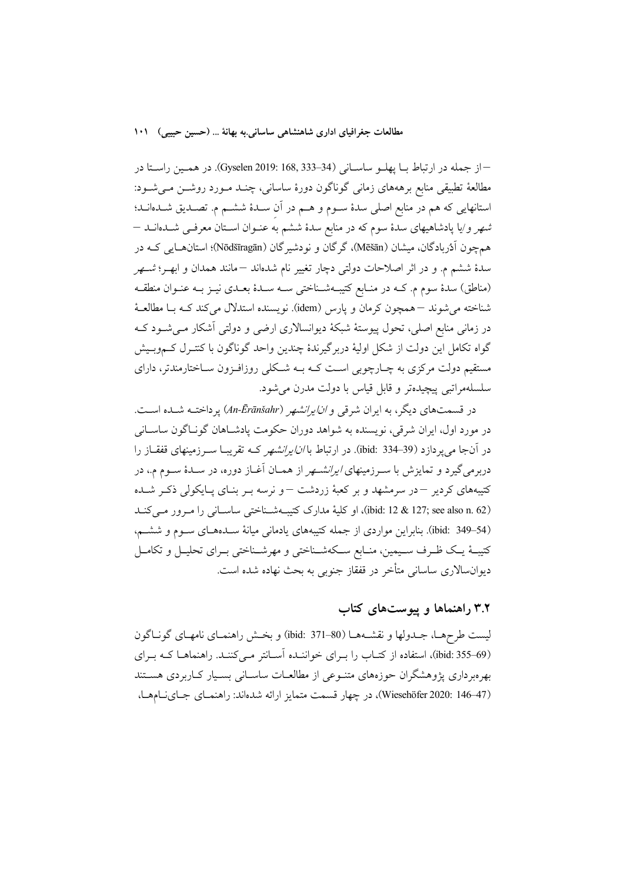- از جمله در ارتباط بـا پهلـو ساسـاني (34-33, Gyselen 2019: 168, 233). در همـين راسـتا در مطالعهٔ تطبیقی منابع برهههای زمانی گوناگون دورهٔ ساسانی، چنــد مــورد روشــن مــیشــود: استانهایی که هم در منابع اصلی سدهٔ سـوم و هــم در آن ســدهٔ ششــم م. تصــدیق شــدهانــد؛ شهر و/یا پادشاهیهای سدهٔ سوم که در منابع سدهٔ ششم به عنـوان اسـتان معرفـی شــدهانــد — همچون اَدُربادگان، میشان (Mēšān)، گرگان و نودشیرگان (Nōdšīragān)؛ استانهایی کـه در سدهٔ ششم م. و در اثر اصلاحات دولتی دچار تغییر نام شدهاند —مانند همدان و ابهـر؛ *شـهر* (مناطق) سدهٔ سوم م. کـه در منـابع کتیبـهشـناختی سـه سـدهٔ بعـدی نیــز بــه عنــوان منطقــه شناخته می شوند –همچون کرمان و پارس (idem). نویسنده استدلال می کند کـه بــا مطالعــهٔ در زمانی منابع اصلی، تحول پیوستهٔ شبکهٔ دیوانسالاری ارضی و دولتی آشکار مـیشــود کــه گواه تکامل این دولت از شکل اولیهٔ دربرگیرندهٔ چندین واحد گوناگون با کنتـرل کـموبـیش مستقیم دولت مرکزی به چـارچوبی اسـت کـه بـه شـکلی روزافـزون سـاختارمندتر، دارای سلسلهمراتبي پيچيدهتر و قابل قياس با دولت مدرن مي شود.

در قسمتهای دیگر، به ایران شرق*ی و ان/یرانشهر (An-Ērānšahr*) پرداختـه شــده اســت. در مورد اول، ايران شرقي، نويسنده به شواهد دوران حكومت يادشـاهان گونـاگون ساسـاني در آنجا می پردازد (39–33 :bid). در ارتباط با *انایرانشهر* کــه تقریبــا ســرزمینهای قفقــاز را دربرمیگیرد و تمایزش با سـرزمینهای *ایرانشـهر* از همـان آغـاز دوره، در سـدهٔ سـوم م.، در کتیبههای کردیر –در سرمشهد و بر کعبهٔ زردشت –و نرسه بـر بنـای پـایکولی ذکـر شـده (ibid: 12 & 127; see also n. 62)، او كلية مدارك كتيبهشـناختى ساسـاني را مـرور مـى كنـد (ibid: 349-54). بنابراین مواردی از جمله کتیبههای یادمانی میانهٔ سـدههـای سـوم و ششـم، کتیبهٔ یـک ظـرف سـیمین، منـابع سـکهشـناختی و مهرشـناختی بـرای تحلیـل و تکامـل دیوانسالاری ساسانی متأخر در قفقاز جنوبی به بحث نهاده شده است.

# ۳.۲ راهنماها و پیوستهای کتاب

ليست طرحهـا، جــدولها و نقشــههــا (80–371 :bid) و بخــش راهنمــاي نامهــاي گونــاگون (59–ibid: 355)، استفاده از کتـاب را بـرای خواننـده آسـانتر مـی کننـد. راهنماهـا کـه بـرای بهرهبرداری یژوهشگران حوزههای متنـوعی از مطالعــات ساســانی بســیار کــاربردی هســتند (Wiesehöfer 2020: 146-47)، در چهار قسمت متمايز ارائه شدهاند: راهنمـاي جـاينـامهـا،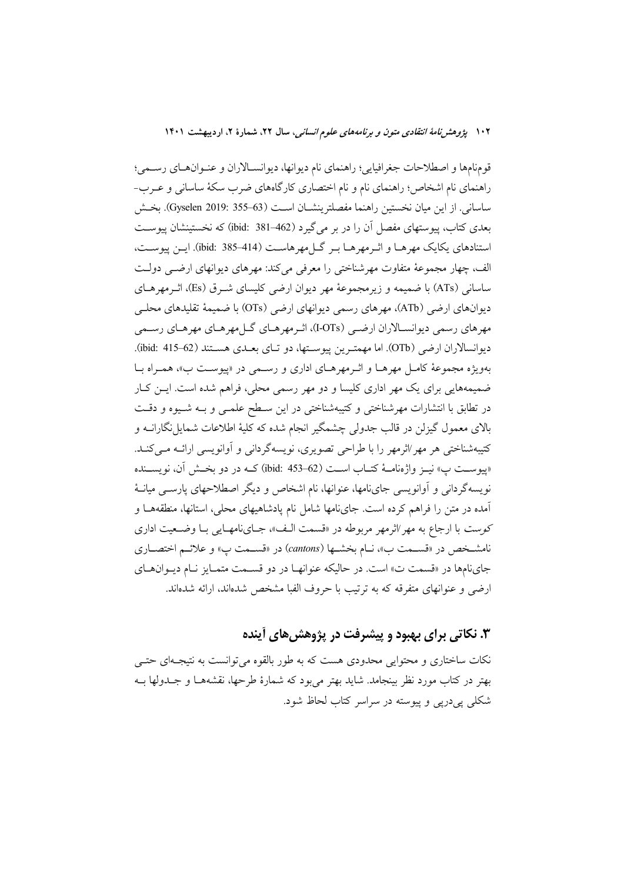قومنامها و اصطلاحات جغرافيايي؛ راهنماي نام ديوانها، ديوانسـالاران و عنـوانهـاي رسـمي؛ راهنمای نام اشخاص؛ راهنمای نام و نام اختصاری کارگاههای ضرب سکهٔ ساسانی و عــرب-ساسانی. از این میان نخستین راهنما مفصلترینشـان اسـت (Gyselen 2019: 355–63). بخــش بعدی کتاب، پیوستهای مفصل آن را در بر میگیرد (462–381 :jbid) که نخستینشان پیوست استنادهای یکایک مهرهـا و اثـرمهرهـا بـر گــا مهرهاسـت (414–385 :jbid). ایــن پیوســت، الف، چهار مجموعهٔ متفاوت مهرشناختی را معرفی میکند: مهرهای دیوانهای ارضبی دولت ساسانی (ATs) با ضمیمه و زیرمجموعهٔ مهر دیوان ارضی کلیسای شـرق (Es)، اثـرمهرهـای دیوانهای ارضی (ATb)، مهرهای رسمی دیوانهای ارضی (OTs) با ضمیمهٔ تقلیدهای محلبی مهرهای رسمی دیوانسـالاران ارضـی (I-OTs)، اثـرمهرهـای گـلمهرهـای مهرهـای رسـمی ديوانسالاران ارضي (OTb). اما مهمترين ييوسـتها، دو تـاي بعـدي هسـتند (62–ibid: 415). بهویژه مجموعهٔ کامل مهرهـا و اثـرمهرهـای اداری و رسـمی در «پیوسـت ب»، همـراه بـا ضمیمههایی برای یک مهر اداری کلیسا و دو مهر رسمی محلی، فراهم شده است. ایــن کــار در تطابق با انتشارات مهرشناختی و کتیبهشناختی در این سـطح علمـی و بـه شـیوه و دقـت بالای معمول گیزلن در قالب جدولی چشمگیر انجام شده که کلیهٔ اطلاعات شمایل نگارانــه و کتیبهشناختی هر مهر ⁄اثرمهر را با طراحی تصویری، نویسهگردانی و آوانویسی ارائــه مــیکنــد. «پيوسـت پ» نيــز واژەنامــهٔ كتــاب اســت (62–ibid: 453) كــه در دو بخــش آن، نويســنده نویسهگردانی و آوانویسی جایiامها، عنوانها، نام اشخاص و دیگر اصطلاحهای پارسـی میانـهٔ آمده در متن را فراهم كرده است. جايiامها شامل نام پادشاهيهاي محلي، استانها، منطقههـا و کوست با ارجاع به مهر ⁄اثرمهر مربوطه در «قسمت الـف»، جـاينامهـايي بـا وضـعيت اداري نامشـخص در «قسـمت ب»، نـام بخشـها (cantons) در «قسـمت پ» و علائـم اختصـاري جاي نامها در «قسمت ت» است. در حاليكه عنوانهـا در دو قسـمت متمـايز نـام ديـوان هـاي ارضی و عنوانهای متفرقه که به ترتیب با حروف الفبا مشخص شدهاند، ارائه شدهاند.

# ۳. نکاتی برای بهبود و پیشرفت در پژوهش های آینده

نکات ساختاری و محتوایی محدودی هست که به طور بالقوه می توانست به نتیجـهای حتـی بهتر در کتاب مورد نظر بینجامد. شاید بهتر میٖبود که شمارهٔ طرحها، نقشههــا و جــدولها بــه شکلی یی دریی و پیوسته در سراسر کتاب لحاظ شود.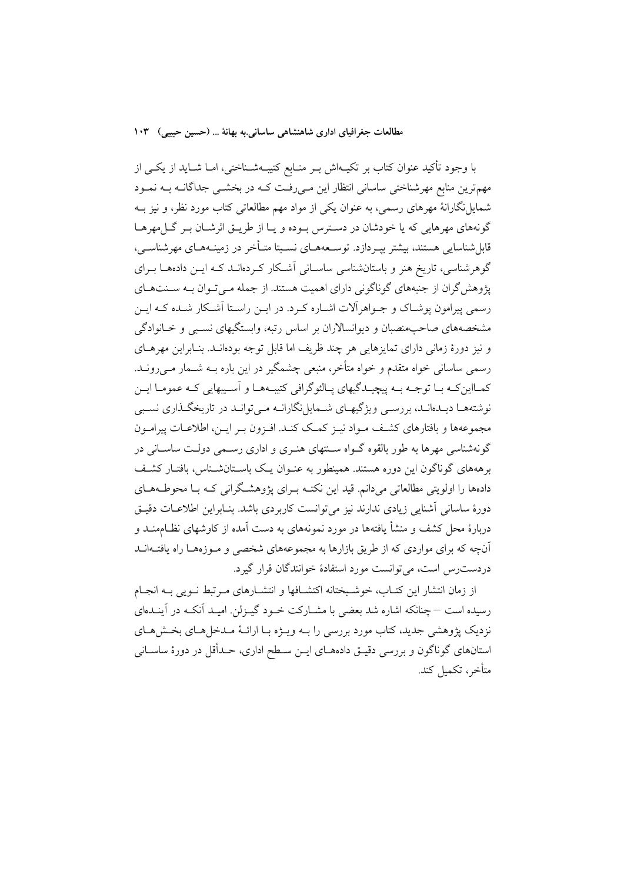با وجود تأكيد عنوان كتاب بر تكيــهاش بــر منــابع كتيبــهشــناختى، امــا شــايد از يكــى از مهمترین منابع مهرشناختی ساسانی انتظار این مے رفت کـه در بخشــی جداگانــه بــه نمــود شمایلنگارانهٔ مهرهای رسمی، به عنوان یکی از مواد مهم مطالعاتی کتاب مورد نظر، و نیز بــه گونههای مهرهایی که یا خودشان در دسترس بـوده و یـا از طریــق اثرشــان بــر گــل4هرهــا قابل شناسایی هستند، بیشتر بیـردازد. توســعههــای نســبتا متــأخر در زمینــههــای مهرشناســی، گوهرشناسی، تاریخ هنر و باستانشناسی ساسـانی آشـکار کـردهانــد کــه ایــن دادههــا بــرای پژوهش گران از جنبههای گوناگونی دارای اهمیت هستند. از جمله مـیتوان بـه سـنتهـای رسمی پیرامون یوشیاک و جبواهرآلات اشباره کبرد. در این راستا آشبکار شبده کبه این مشخصههای صاحبِمنصبان و دیوانسالاران بر اساس رتبه، وابستگیهای نسـبی و خــانوادگی و نیز دورهٔ زمانی دارای تمایزهایی هر چند ظریف اما قابل توجه بودهانــد. بنــابراین مهرهــای رسمی ساسانی خواه متقدم و خواه متأخر، منبعی چشمگیر در این باره بــه شــمار مــیرونــد. ۔<br>کمبااین کبه سا توجبه سه پیچیندگیهای پیالئو گرافی کتیبههیا و آسیبهایی کبه عمومیا اسن نوشتههـا ديــدهانــد، بررســي ويژگيهــاي شـــهايل نگارانــه مــي توانــد در تاريخگــذاري نســبي مجموعهها و بافتارهای کشف مـواد نیـز کمـک کنـد. افـزون بـر ایـن، اطلاعـات پیرامـون گونهشناسی مهرها به طور بالقوه گــواه ســنتهای هنــری و اداری رســمی دولــت ساســانی در برهههای گوناگون این دوره هستند. همینطور به عنـوان یـک باســتانشــناس، بافتـار کشــف دادهها را اولویتی مطالعاتی میدانم. قید این نکتـه بـرای پژوهشـگرانی کـه بـا محوطـههـای دورهٔ ساسانی اَشنایی زیادی ندارند نیز میتوانست کاربردی باشد. بنـابراین اطلاعـات دقیـق دربارهٔ محل کشف و منشأ یافتهها در مورد نمونههای به دست آمده از کاوشهای نظـامهنــد و آنچه که برای مواردی که از طریق بازارها به مجموعههای شخصی و مـوزههـا راه یافتـهانـد دردست رس است، مي توانست مورد استفادهٔ خوانندگان قرار گيرد.

از زمان انتشار این کتـاب، خوشـبختانه اکتشــافها و انتشــارهای مـرتبط نــویی بــه انجــام رسیده است – چنانکه اشاره شد بعضی با مشــارکت خــود گیــزلن. امیــد آنکــه در آینــدهای نزدیک پژوهشی جدید، کتاب مورد بررسی را بــه ویــژه بــا ارائــهٔ مــدخل(هــای بخــش(هــای استانهای گوناگون و بررسی دقیـق دادههـای ایـن سـطح اداری، حـدأقل در دورهٔ ساسـانی متأخر، تكميل كند.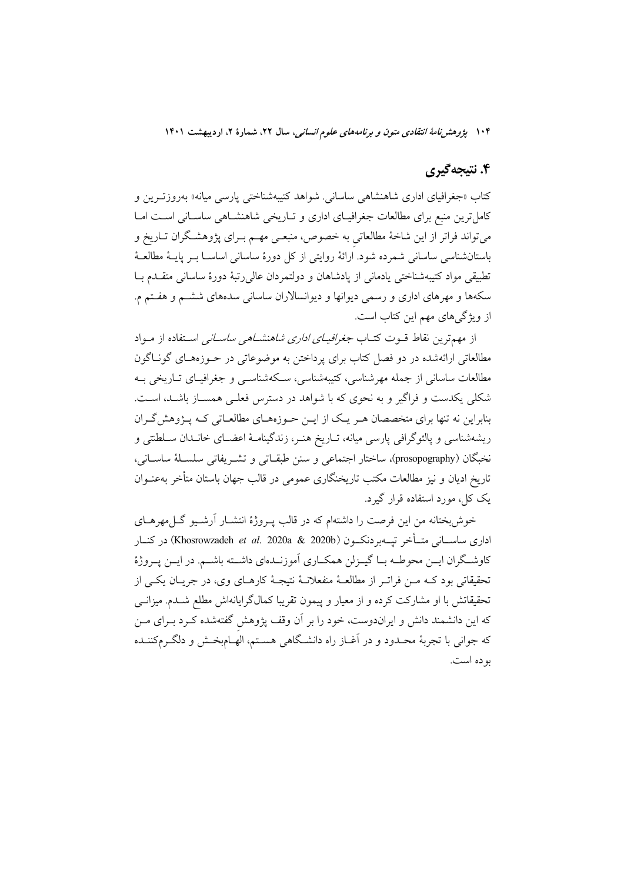## ۴. نتیجهگیری

کتاب «جغرافیای اداری شاهنشاه<sub>ی</sub> ساسانی<sub>.</sub> شواهد کتیبهشناخت<sub>ی</sub> یارسی میانه» بهروزتـرین و کامل ترین منبع برای مطالعات جغرافیـای اداری و تـاریخی شاهنشـاهی ساسـانی اسـت امـا میتواند فراتر از این شاخهٔ مطالعاتی به خصوص، منبعـی مهـم بـرای پژوهشـگران تــاریخ و باستانشناسی ساسانی شمرده شود. ارائهٔ روایتی از کل دورهٔ ساسانی اساســا بــر پایــهٔ مطالعــهٔ تطبيقي مواد كتيبهشناختي يادماني از يادشاهان و دولتمردان عالى رتبهٔ دورهٔ ساساني متقلدم با سکهها و مهرهای اداری و رسمی دیوانها و دیوانسالاران ساسانی سدههای ششـم و هفـتم م. از ویژگی های مهم این کتاب است.

از مهمترین نقاط قبوت کتـاب *جغرافیـای اداری شاهنشـاهی ساسـانی* اسـتفاده از مـواد مطالعاتی ارائهشده در دو فصل کتاب برای پرداختن به موضوعاتی در حــوزههــای گونــاگون مطالعات ساسانی از جمله مهرشناسی، کتیبهشناسی، سـکهشناســی و جغرافیــای تــاریخی بــه شکلی یکدست و فراگیر و به نحوی که با شواهد در دسترس فعلـی همســاز باشــد، اســت. بنابراین نه تنها برای متخصصان هـر یـک از ایــن حــوزههــای مطالعــاتی کــه پــژوهش گــران ریشهشناسی و پالئوگرافی پارسی میانه، تـاریخ هنـر، زندگینامـهٔ اعضـای خانـدان سـلطنتی و نخبگان (prosopography)، ساختار اجتماعي و سنن طبقـاتي و تشـريفاتي سلسـلهٔ ساسـاني، تاریخ ادیان و نیز مطالعات مکتب تاریخنگاری عمومی در قالب جهان باستان متأخر بهعنــوان یک کل، مورد استفاده قرار گیرد.

خوش بختانه من این فرصت را داشتهام که در قالب پـروژهٔ انتشـار آرشـیو گــلمهرهــای اداری ساســانی متــأخر تپـــهبردنکـــون (Khosrowzadeh *et al*. 2020a & 2020b) در کنــار كاوشـگران ايــن محوطــه بــا گيــزلن همكــاري آموزنــدهاي داشــته باشــم. در ايــن يــروژهٔ تحقیقاتی بود کـه مـن فراتـر از مطالعـهٔ منفعلانـهٔ نتیجـهٔ کارهـای وی، در جریـان یکـی از تحقیقاتش با او مشارکت کرده و از معیار و پیمون تقریبا کمالگرایانهاش مطلع شـدم. میزانــی که این دانشمند دانش و ایراندوست، خود را بر آن وقف پژوهش گفتهشده کـرد بــرای مــن که جوانی با تجربهٔ محـدود و در آغــاز راه دانشـگاهی هسـتم، الهــام٬خـش و دلگــرمکننــده بو ده است.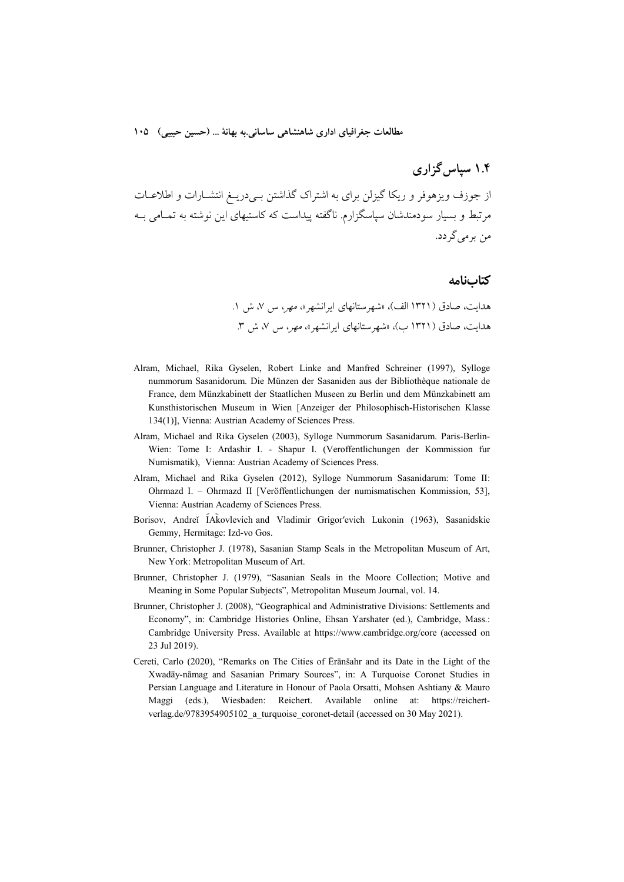مطالعات جغرافياي اداري شاهنشاهي ساساني.به بهانة … (حسين حبيبي) ١٠٥

# ۱.۴ سیاس گزاری

از جوزف ویزهوفر و ریکا گیزلن برای به اشتراک گذاشتن بے دریـغ انتشــارات و اطلاعــات مرتبط و بسیار سودمندشان سیاسگزارم. ناگفته پیداست که کاستیهای این نوشته به تمـامی بـه من پر می گر دد.

#### كتابنامه

هدایت، صادق (۱۳۲۱ الف)، «شهرستانهای ایرانشهر»، مهر، س ۷، ش ۱. هدایت، صادق (۱۳۲۱ ب)، «شهرستانهای ایرانشهر»، مهر، س ۷، ش ۳.

- Alram, Michael, Rika Gyselen, Robert Linke and Manfred Schreiner (1997), Sylloge nummorum Sasanidorum. Die Münzen der Sasaniden aus der Bibliothèque nationale de France, dem Münzkabinett der Staatlichen Museen zu Berlin und dem Münzkabinett am Kunsthistorischen Museum in Wien [Anzeiger der Philosophisch-Historischen Klasse 134(1). Vienna: Austrian Academy of Sciences Press.
- Alram, Michael and Rika Gyselen (2003), Sylloge Nummorum Sasanidarum. Paris-Berlin-Wien: Tome I: Ardashir I. - Shapur I. (Veroffentlichungen der Kommission fur Numismatik), Vienna: Austrian Academy of Sciences Press.
- Alram, Michael and Rika Gyselen (2012), Sylloge Nummorum Sasanidarum: Tome II: Ohrmazd I. - Ohrmazd II [Veröffentlichungen der numismatischen Kommission, 53], Vienna: Austrian Academy of Sciences Press.
- Borisov, Andreĭ ÍAkovlevich and Vladimir Grigor'evich Lukonin (1963), Sasanidskie Gemmy, Hermitage: Izd-vo Gos.
- Brunner, Christopher J. (1978), Sasanian Stamp Seals in the Metropolitan Museum of Art, New York: Metropolitan Museum of Art.
- Brunner, Christopher J. (1979), "Sasanian Seals in the Moore Collection; Motive and Meaning in Some Popular Subjects", Metropolitan Museum Journal, vol. 14.
- Brunner, Christopher J. (2008), "Geographical and Administrative Divisions: Settlements and Economy", in: Cambridge Histories Online, Ehsan Yarshater (ed.), Cambridge, Mass.: Cambridge University Press. Available at https://www.cambridge.org/core (accessed on 23 Jul 2019).
- Cereti, Carlo (2020), "Remarks on The Cities of Eranšahr and its Date in the Light of the Xwadāy-nāmag and Sasanian Primary Sources", in: A Turquoise Coronet Studies in Persian Language and Literature in Honour of Paola Orsatti, Mohsen Ashtiany & Mauro (eds.), Wiesbaden: Reichert. Available online at: https://reichert-Maggi verlag.de/9783954905102 a turquoise coronet-detail (accessed on 30 May 2021).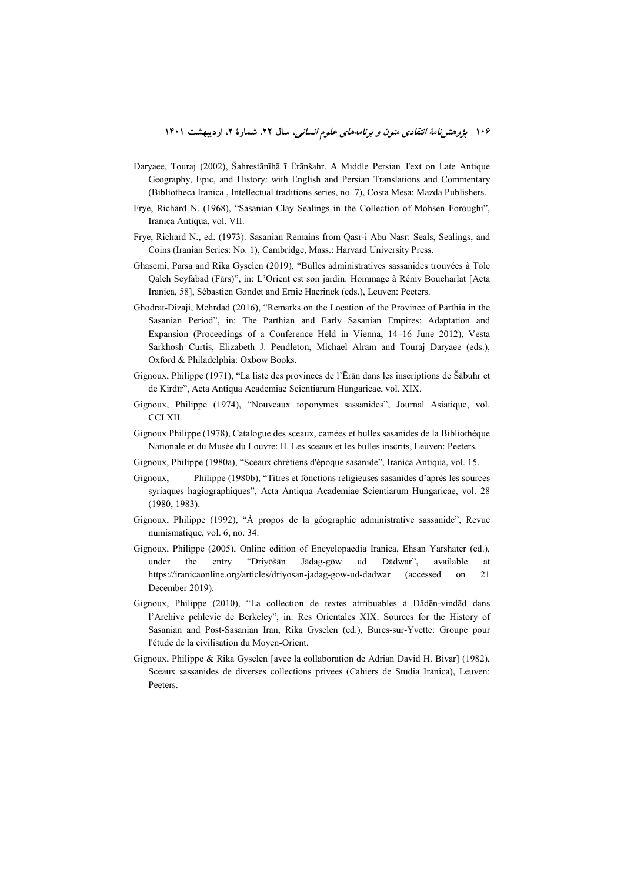- Daryaee, Touraj (2002), Šahrestānīhā ī Ērānšahr. A Middle Persian Text on Late Antique Geography, Epic, and History; with English and Persian Translations and Commentary (Bibliotheca Iranica., Intellectual traditions series, no. 7), Costa Mesa: Mazda Publishers.
- Frye, Richard N. (1968), "Sasanian Clay Sealings in the Collection of Mohsen Foroughi", Iranica Antiqua, vol. VII.
- Frye, Richard N., ed. (1973). Sasanian Remains from Qasr-i Abu Nasr: Seals, Sealings, and Coins (Iranian Series: No. 1). Cambridge, Mass.: Harvard University Press.
- Ghasemi, Parsa and Rika Gyselen (2019), "Bulles administratives sassanides trouvées à Tole Qaleh Seyfabad (Fārs)", in: L'Orient est son jardin. Hommage à Rémy Boucharlat [Acta Iranica, 58], Sébastien Gondet and Ernie Haerinck (eds.), Leuven: Peeters.
- Ghodrat-Dizaji, Mehrdad (2016), "Remarks on the Location of the Province of Parthia in the Sasanian Period", in: The Parthian and Early Sasanian Empires: Adaptation and Expansion (Proceedings of a Conference Held in Vienna, 14–16 June 2012), Vesta Sarkhosh Curtis, Elizabeth J. Pendleton, Michael Alram and Touraj Daryaee (eds.), Oxford & Philadelphia: Oxbow Books.
- Gignoux. Philippe (1971). "La liste des provinces de l'Eran dans les inscriptions de Šabuhr et de Kirdīr", Acta Antiqua Academiae Scientiarum Hungaricae, vol. XIX.
- Gignoux, Philippe (1974), "Nouveaux toponymes sassanides", Journal Asiatique, vol. CCLXII.
- Gignoux Philippe (1978), Catalogue des sceaux, camées et bulles sasanides de la Bibliothèque Nationale et du Musée du Louvre: II. Les sceaux et les bulles inscrits, Leuven: Peeters.
- Gignoux, Philippe (1980a), "Sceaux chrétiens d'époque sasanide", Iranica Antiqua, vol. 15.
- Gignoux, Philippe (1980b), "Titres et fonctions religieuses sasanides d'après les sources syriaques hagiographiques", Acta Antiqua Academiae Scientiarum Hungaricae, vol. 28  $(1980, 1983)$ .
- Gignoux, Philippe (1992), "À propos de la géographie administrative sassanide", Revue numismatique, vol. 6, no. 34.
- Gignoux, Philippe (2005), Online edition of Encyclopaedia Iranica, Ehsan Yarshater (ed.), under the entry "Drivōšān Jādag-gōw ud Dādwar". available at https://iranicaonline.org/articles/driyosan-jadag-gow-ud-dadwar 21 *(accessed)*  $\alpha$ December 2019).
- Gignoux, Philippe (2010), "La collection de textes attribuables à Dādēn-vindād dans l'Archive pehlevie de Berkeley", in: Res Orientales XIX: Sources for the History of Sasanian and Post-Sasanian Iran, Rika Gyselen (ed.), Bures-sur-Yvette: Groupe pour l'étude de la civilisation du Moyen-Orient.
- Gignoux, Philippe & Rika Gyselen [avec la collaboration de Adrian David H. Bivar] (1982), Sceaux sassanides de diverses collections privees (Cahiers de Studia Iranica), Leuven: Peeters.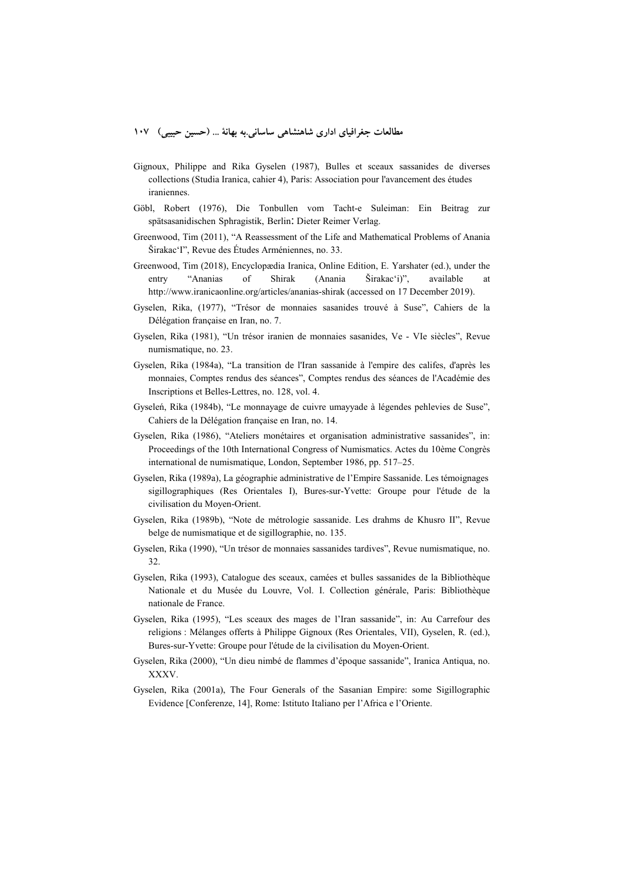- Gignoux, Philippe and Rika Gyselen (1987), Bulles et sceaux sassanides de diverses collections (Studia Iranica, cahier 4), Paris: Association pour l'avancement des études iraniennes.
- Göbl, Robert (1976), Die Tonbullen vom Tacht-e Suleiman: Ein Beitrag zur spätsasanidischen Sphragistik, Berlin: Dieter Reimer Verlag.
- Greenwood, Tim (2011), "A Reassessment of the Life and Mathematical Problems of Anania Širakac'I", Revue des Études Arméniennes, no. 33.
- Greenwood, Tim (2018), Encyclopædia Iranica, Online Edition, E. Yarshater (ed.), under the entry "Ananias of Shirak (Anania Širakac'i)", available http://www.iranicaonline.org/articles/ananias-shirak (accessed on 17 December 2019).
- Gyselen, Rika, (1977), "Trésor de monnaies sasanides trouvé à Suse", Cahiers de la Délégation française en Iran, no. 7.
- Gyselen, Rika (1981), "Un trésor iranien de monnaies sasanides, Ve VIe siècles", Revue numismatique, no. 23.
- Gyselen, Rika (1984a), "La transition de l'Iran sassanide à l'empire des califes, d'après les monnaies, Comptes rendus des séances", Comptes rendus des séances de l'Académie des Inscriptions et Belles-Lettres, no. 128, vol. 4.
- Gyseleń, Rika (1984b), "Le monnayage de cuivre umayyade à légendes pehlevies de Suse", Cahiers de la Délégation française en Iran, no. 14.
- Gyselen, Rika (1986), "Ateliers monétaires et organisation administrative sassanides", in: Proceedings of the 10th International Congress of Numismatics. Actes du 10ème Congrès international de numismatique, London, September 1986, pp. 517–25.
- Gyselen, Rika (1989a), La géographie administrative de l'Empire Sassanide. Les témoignages sigillographiques (Res Orientales I), Bures-sur-Yvette: Groupe pour l'étude de la civilisation du Moyen-Orient.
- Gyselen, Rika (1989b), "Note de métrologie sassanide. Les drahms de Khusro II", Revue belge de numismatique et de sigillographie, no. 135.
- Gyselen, Rika (1990), "Un trésor de monnaies sassanides tardives", Revue numismatique, no. 32.
- Gyselen, Rika (1993), Catalogue des sceaux, camées et bulles sassanides de la Bibliothèque Nationale et du Musée du Louvre, Vol. I. Collection générale, Paris: Bibliothèque nationale de France.
- Gyselen, Rika (1995), "Les sceaux des mages de l'Iran sassanide", in: Au Carrefour des religions : Mélanges offerts à Philippe Gignoux (Res Orientales, VII), Gyselen, R. (ed.), Bures-sur-Yvette: Groupe pour l'étude de la civilisation du Moyen-Orient.
- Gyselen, Rika (2000), "Un dieu nimbé de flammes d'époque sassanide", Iranica Antiqua, no. XXXV.
- Gyselen, Rika (2001a), The Four Generals of the Sasanian Empire: some Sigillographic Evidence [Conferenze, 14], Rome: Istituto Italiano per l'Africa e l'Oriente.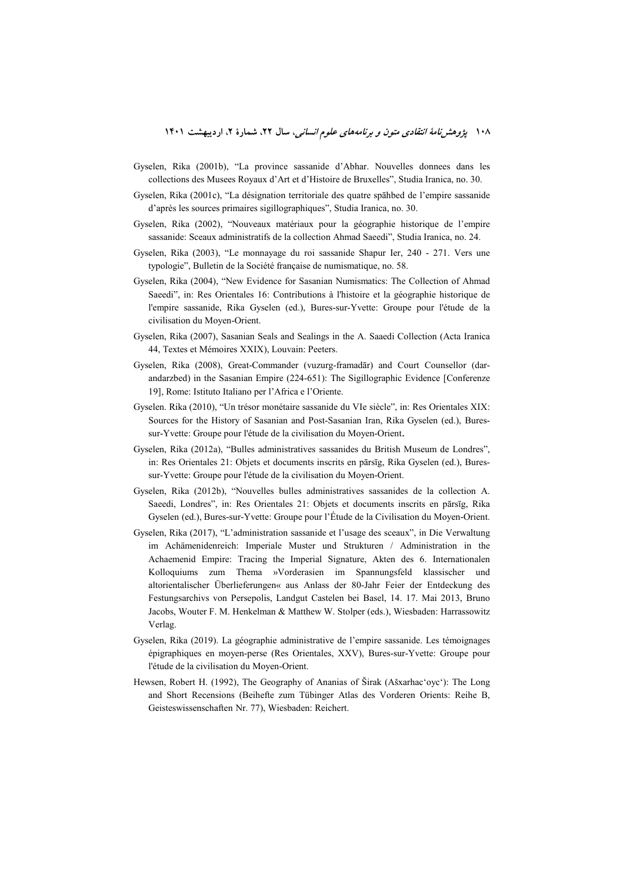- Gyselen, Rika (2001b), "La province sassanide d'Abhar. Nouvelles donnees dans les collections des Musees Royaux d'Art et d'Histoire de Bruxelles". Studia Iranica, no. 30.
- Gyselen, Rika (2001c), "La désignation territoriale des quatre spahbed de l'empire sassanide d'après les sources primaires sigillographiques", Studia Iranica, no. 30.
- Gyselen, Rika (2002), "Nouveaux matériaux pour la géographie historique de l'empire sassanide: Sceaux administratifs de la collection Ahmad Saeedi", Studia Iranica, no. 24.
- Gyselen, Rika (2003), "Le monnayage du roi sassanide Shapur Ier, 240 271. Vers une typologie", Bulletin de la Société française de numismatique, no. 58.
- Gyselen, Rika (2004), "New Evidence for Sasanian Numismatics: The Collection of Ahmad Saeedi", in: Res Orientales 16: Contributions à l'histoire et la géographie historique de l'empire sassanide, Rika Gyselen (ed.), Bures-sur-Yvette: Groupe pour l'étude de la civilisation du Moyen-Orient.
- Gyselen, Rika (2007), Sasanian Seals and Sealings in the A. Saaedi Collection (Acta Iranica 44, Textes et Mémoires XXIX), Louvain: Peeters.
- Gyselen, Rika (2008), Great-Commander (vuzurg-framadar) and Court Counsellor (darandarzbed) in the Sasanian Empire (224-651): The Sigillographic Evidence [Conferenze 19], Rome: Istituto Italiano per l'Africa e l'Oriente.
- Gyselen. Rika (2010), "Un trésor monétaire sassanide du VIe siècle", in: Res Orientales XIX: Sources for the History of Sasanian and Post-Sasanian Iran, Rika Gyselen (ed.), Buressur-Yvette: Groupe pour l'étude de la civilisation du Moyen-Orient.
- Gyselen, Rika (2012a), "Bulles administratives sassanides du British Museum de Londres", in: Res Orientales 21: Objets et documents inscrits en pārsīg, Rika Gyselen (ed.), Buressur-Yvette: Groupe pour l'étude de la civilisation du Moyen-Orient.
- Gyselen, Rika (2012b), "Nouvelles bulles administratives sassanides de la collection A. Saeedi, Londres", in: Res Orientales 21: Objets et documents inscrits en pārsīg, Rika Gyselen (ed.), Bures-sur-Yvette: Groupe pour l'Étude de la Civilisation du Moyen-Orient.
- Gyselen, Rika (2017), "L'administration sassanide et l'usage des sceaux", in Die Verwaltung im Achämenidenreich: Imperiale Muster und Strukturen / Administration in the Achaemenid Empire: Tracing the Imperial Signature, Akten des 6. Internationalen Kolloquiums zum Thema »Vorderasien im Spannungsfeld klassischer und altorientalischer Überlieferungen« aus Anlass der 80-Jahr Feier der Entdeckung des Festungsarchivs von Persepolis, Landgut Castelen bei Basel, 14. 17. Mai 2013, Bruno Jacobs, Wouter F. M. Henkelman & Matthew W. Stolper (eds.), Wiesbaden: Harrassowitz Verlag.
- Gyselen, Rika (2019). La géographie administrative de l'empire sassanide. Les témoignages épigraphiques en moyen-perse (Res Orientales, XXV), Bures-sur-Yvette: Groupe pour l'étude de la civilisation du Moyen-Orient.
- Hewsen, Robert H. (1992), The Geography of Ananias of Širak (Ašxarhac'oyc'): The Long and Short Recensions (Beihefte zum Tübinger Atlas des Vorderen Orients: Reihe B, Geisteswissenschaften Nr. 77), Wiesbaden: Reichert.